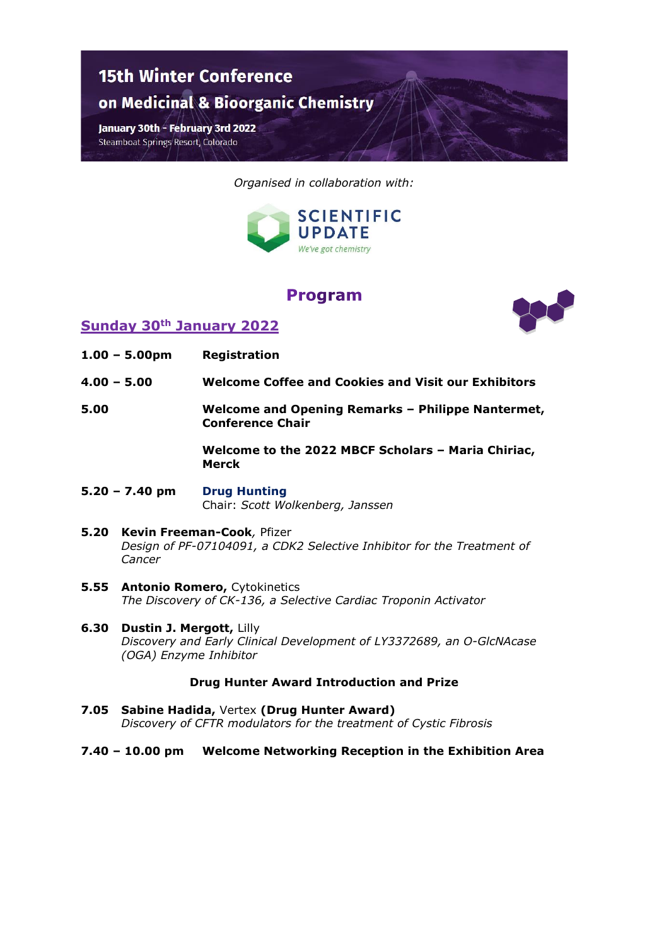

*Organised in collaboration with:*



# **Program**



## **Sunday 30th January 2022**

- **1.00 – 5.00pm Registration**
- **4.00 – 5.00 Welcome Coffee and Cookies and Visit our Exhibitors**
- **5.00 Welcome and Opening Remarks – Philippe Nantermet, Conference Chair**

**Welcome to the 2022 MBCF Scholars – Maria Chiriac, Merck**

- **5.20 – 7.40 pm Drug Hunting** Chair: *Scott Wolkenberg, Janssen*
- **5.20 Kevin Freeman-Cook***,* Pfizer *Design of PF-07104091, a CDK2 Selective Inhibitor for the Treatment of Cancer*
- **5.55 Antonio Romero,** Cytokinetics *The Discovery of CK-136, a Selective Cardiac Troponin Activator*
- **6.30 Dustin J. Mergott,** Lilly *Discovery and Early Clinical Development of LY3372689, an O-GlcNAcase (OGA) Enzyme Inhibitor*

#### **Drug Hunter Award Introduction and Prize**

- **7.05 Sabine Hadida,** Vertex **(Drug Hunter Award)** *Discovery of CFTR modulators for the treatment of Cystic Fibrosis*
- **7.40 – 10.00 pm Welcome Networking Reception in the Exhibition Area**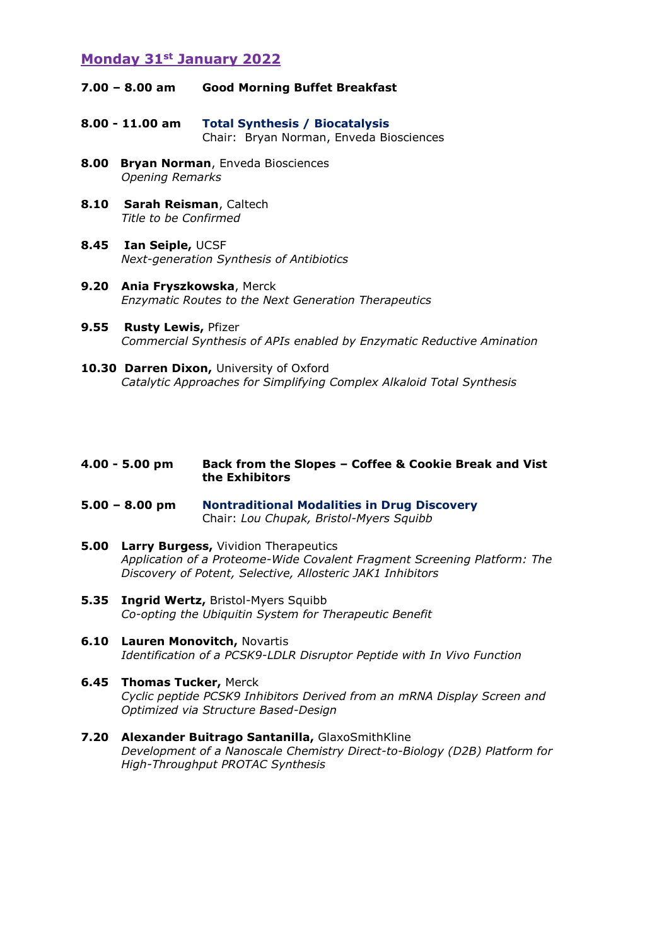## **Monday 31st January 2022**

- **7.00 – 8.00 am Good Morning Buffet Breakfast**
- **8.00 - 11.00 am Total Synthesis / Biocatalysis** Chair: Bryan Norman, Enveda Biosciences
- **8.00 Bryan Norman**, Enveda Biosciences *Opening Remarks*
- **8.10 Sarah Reisman**, Caltech *Title to be Confirmed*
- **8.45 Ian Seiple,** UCSF *Next-generation Synthesis of Antibiotics*
- **9.20 Ania Fryszkowska**, Merck *Enzymatic Routes to the Next Generation Therapeutics*
- **9.55 Rusty Lewis,** Pfizer *Commercial Synthesis of APIs enabled by Enzymatic Reductive Amination*
- 10.30 Darren Dixon, University of Oxford *Catalytic Approaches for Simplifying Complex Alkaloid Total Synthesis*

#### **4.00 - 5.00 pm Back from the Slopes – Coffee & Cookie Break and Vist the Exhibitors**

- **5.00 – 8.00 pm Nontraditional Modalities in Drug Discovery** Chair: *Lou Chupak, Bristol-Myers Squibb*
- **5.00 Larry Burgess,** Vividion Therapeutics *Application of a Proteome-Wide Covalent Fragment Screening Platform: The Discovery of Potent, Selective, Allosteric JAK1 Inhibitors*
- **5.35 Ingrid Wertz,** Bristol-Myers Squibb *Co-opting the Ubiquitin System for Therapeutic Benefit*
- **6.10 Lauren Monovitch,** Novartis *Identification of a PCSK9-LDLR Disruptor Peptide with In Vivo Function*
- **6.45 Thomas Tucker,** Merck *Cyclic peptide PCSK9 Inhibitors Derived from an mRNA Display Screen and Optimized via Structure Based-Design*
- **7.20 Alexander Buitrago Santanilla,** GlaxoSmithKline *Development of a Nanoscale Chemistry Direct-to-Biology (D2B) Platform for High-Throughput PROTAC Synthesis*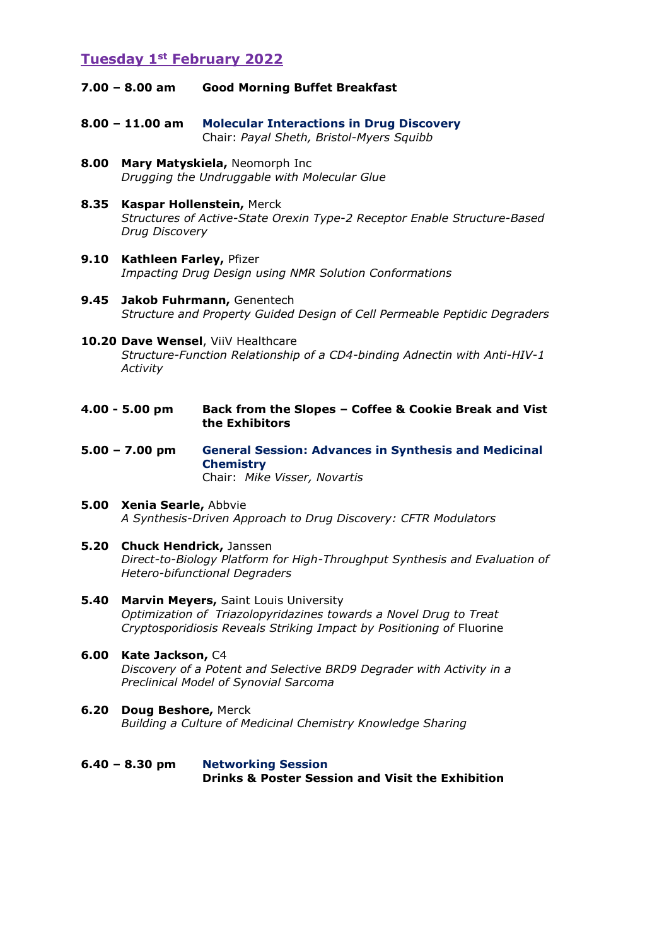## **Tuesday 1st February 2022**

- **7.00 – 8.00 am Good Morning Buffet Breakfast**
- **8.00 – 11.00 am Molecular Interactions in Drug Discovery** Chair: *Payal Sheth, Bristol-Myers Squibb*
- **8.00 Mary Matyskiela,** Neomorph Inc *Drugging the Undruggable with Molecular Glue*
- **8.35 Kaspar Hollenstein,** Merck *Structures of Active-State Orexin Type-2 Receptor Enable Structure-Based Drug Discovery*
- **9.10 Kathleen Farley,** Pfizer *Impacting Drug Design using NMR Solution Conformations*
- **9.45 Jakob Fuhrmann,** Genentech *Structure and Property Guided Design of Cell Permeable Peptidic Degraders*
- **10.20 Dave Wensel**, ViiV Healthcare *Structure-Function Relationship of a CD4-binding Adnectin with Anti-HIV-1 Activity*
- **4.00 - 5.00 pm Back from the Slopes – Coffee & Cookie Break and Vist the Exhibitors**
- **5.00 – 7.00 pm General Session: Advances in Synthesis and Medicinal Chemistry**  Chair: *Mike Visser, Novartis*
- **5.00 Xenia Searle,** Abbvie *A Synthesis-Driven Approach to Drug Discovery: CFTR Modulators*
- **5.20 Chuck Hendrick,** Janssen *Direct-to-Biology Platform for High-Throughput Synthesis and Evaluation of Hetero-bifunctional Degraders*
- **5.40 Marvin Meyers,** Saint Louis University *Optimization of Triazolopyridazines towards a Novel Drug to Treat Cryptosporidiosis Reveals Striking Impact by Positioning of* Fluorine
- **6.00 Kate Jackson,** C4 *Discovery of a Potent and Selective BRD9 Degrader with Activity in a Preclinical Model of Synovial Sarcoma*
- **6.20 Doug Beshore,** Merck *Building a Culture of Medicinal Chemistry Knowledge Sharing*
- **6.40 – 8.30 pm Networking Session Drinks & Poster Session and Visit the Exhibition**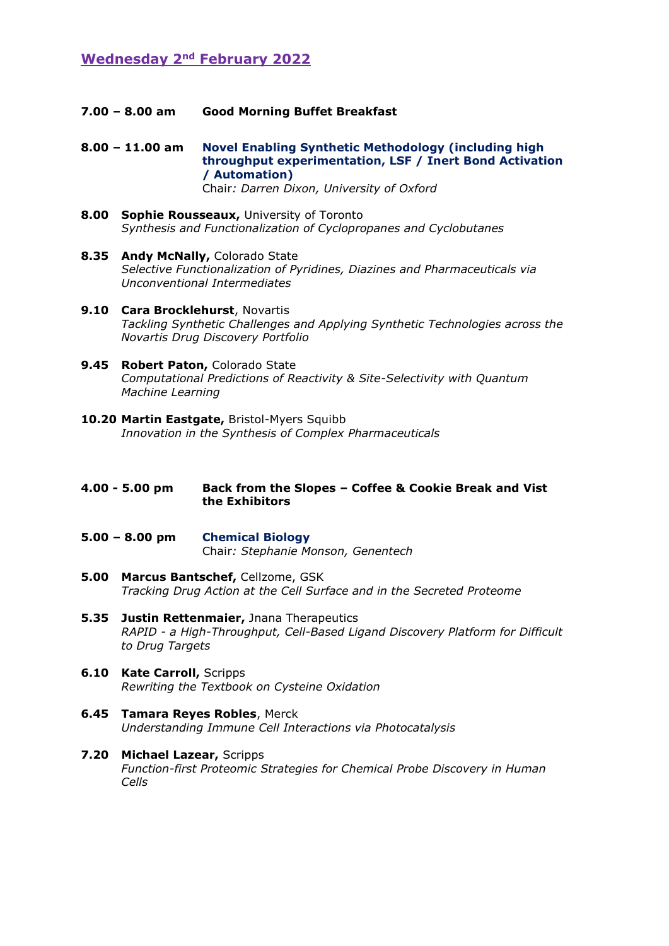# **Wednesday 2nd February 2022**

**7.00 – 8.00 am Good Morning Buffet Breakfast** 

**8.00 – 11.00 am Novel Enabling Synthetic Methodology (including high throughput experimentation, LSF / Inert Bond Activation / Automation)** Chair*: Darren Dixon, University of Oxford*

- **8.00 Sophie Rousseaux,** University of Toronto *Synthesis and Functionalization of Cyclopropanes and Cyclobutanes*
- **8.35 Andy McNally,** Colorado State *Selective Functionalization of Pyridines, Diazines and Pharmaceuticals via Unconventional Intermediates*
- **9.10 Cara Brocklehurst**, Novartis *Tackling Synthetic Challenges and Applying Synthetic Technologies across the Novartis Drug Discovery Portfolio*
- 9.45 **Robert Paton, Colorado State** *Computational Predictions of Reactivity & Site-Selectivity with Quantum Machine Learning*
- **10.20 Martin Eastgate,** Bristol-Myers Squibb *Innovation in the Synthesis of Complex Pharmaceuticals*
- **4.00 - 5.00 pm Back from the Slopes – Coffee & Cookie Break and Vist the Exhibitors**
- **5.00 – 8.00 pm Chemical Biology** Chair*: Stephanie Monson, Genentech*
- **5.00 Marcus Bantschef,** Cellzome, GSK *Tracking Drug Action at the Cell Surface and in the Secreted Proteome*
- **5.35 Justin Rettenmaier,** Jnana Therapeutics *RAPID - a High-Throughput, Cell-Based Ligand Discovery Platform for Difficult to Drug Targets*
- **6.10 Kate Carroll,** Scripps *Rewriting the Textbook on Cysteine Oxidation*
- **6.45 Tamara Reyes Robles**, Merck *Understanding Immune Cell Interactions via Photocatalysis*
- **7.20 Michael Lazear,** Scripps *Function-first Proteomic Strategies for Chemical Probe Discovery in Human Cells*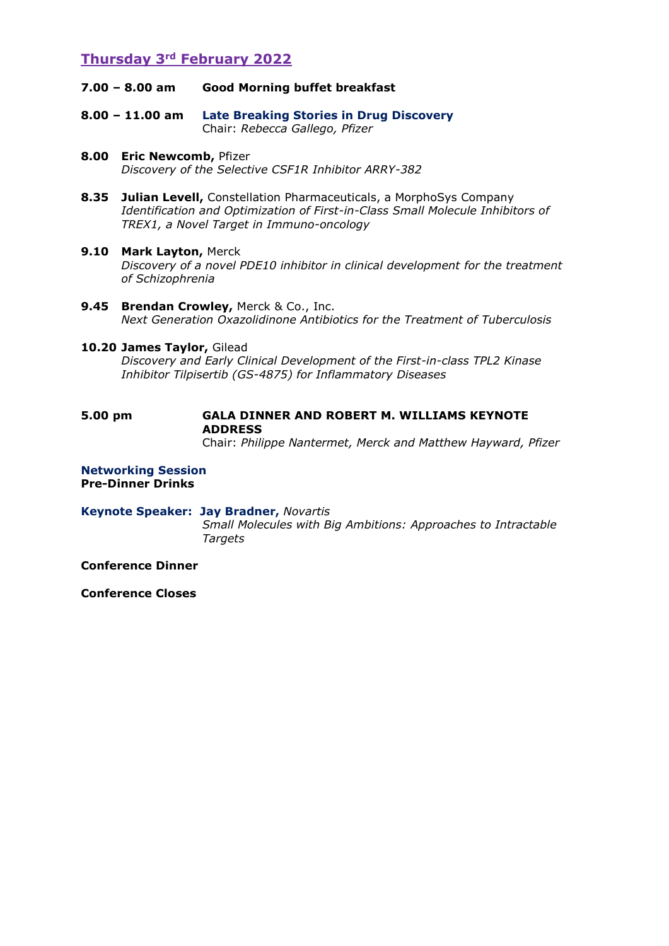# **Thursday 3rd February 2022**

- **7.00 – 8.00 am Good Morning buffet breakfast**
- **8.00 – 11.00 am Late Breaking Stories in Drug Discovery**  Chair: *Rebecca Gallego, Pfizer*
- **8.00 Eric Newcomb,** Pfizer *Discovery of the Selective CSF1R Inhibitor ARRY-382*
- **8.35 Julian Levell,** Constellation Pharmaceuticals, a MorphoSys Company *Identification and Optimization of First-in-Class Small Molecule Inhibitors of TREX1, a Novel Target in Immuno-oncology*
- **9.10 Mark Layton,** Merck *Discovery of a novel PDE10 inhibitor in clinical development for the treatment of Schizophrenia*
- **9.45 Brendan Crowley,** Merck & Co., Inc. *Next Generation Oxazolidinone Antibiotics for the Treatment of Tuberculosis*

#### **10.20 James Taylor,** Gilead

*Discovery and Early Clinical Development of the First-in-class TPL2 Kinase Inhibitor Tilpisertib (GS-4875) for Inflammatory Diseases*

# **5.00 pm GALA DINNER AND ROBERT M. WILLIAMS KEYNOTE ADDRESS**

Chair: *Philippe Nantermet, Merck and Matthew Hayward, Pfizer*

**Networking Session Pre-Dinner Drinks**

**Keynote Speaker: Jay Bradner,** *Novartis Small Molecules with Big Ambitions: Approaches to Intractable Targets*

**Conference Dinner** 

**Conference Closes**